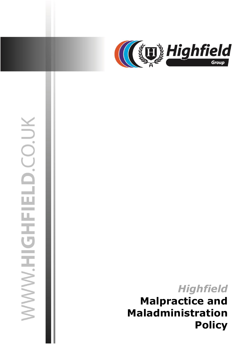

# WWW.HIGHFIELD.CO.UK

03 July 2019 jasonsprenger

# *Highfield* **Malpractice and Maladministration Policy**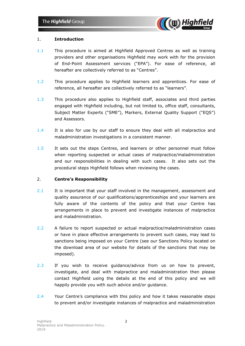

### 1. **Introduction**

- 1.1 This procedure is aimed at Highfield Approved Centres as well as training providers and other organisations Highfield may work with for the provision of End-Point Assessment services ("EPA"). For ease of reference, all hereafter are collectively referred to as "Centres".
- 1.2 This procedure applies to Highfield learners and apprentices. For ease of reference, all hereafter are collectively referred to as "learners".
- 1.3 This procedure also applies to Highfield staff, associates and third parties engaged with Highfield including, but not limited to, office staff, consultants, Subject Matter Experts ("SME"), Markers, External Quality Support ("EQS") and Assessors.
- 1.4 It is also for use by our staff to ensure they deal with all malpractice and maladministration investigations in a consistent manner.
- 1.5 It sets out the steps Centres, and learners or other personnel must follow when reporting suspected or actual cases of malpractice/maladministration and our responsibilities in dealing with such cases. It also sets out the procedural steps Highfield follows when reviewing the cases.

# 2. **Centre's Responsibility**

- 2.1 It is important that your staff involved in the management, assessment and quality assurance of our qualifications/apprenticeships and your learners are fully aware of the contents of the policy and that your Centre has arrangements in place to prevent and investigate instances of malpractice and maladministration.
- 2.2 A failure to report suspected or actual malpractice/maladministration cases or have in place effective arrangements to prevent such cases, may lead to sanctions being imposed on your Centre (see our Sanctions Policy located on the download area of our website for details of the sanctions that may be imposed).
- 2.3 If you wish to receive guidance/advice from us on how to prevent, investigate, and deal with malpractice and maladministration then please contact Highfield using the details at the end of this policy and we will happily provide you with such advice and/or guidance.
- 2.4 Your Centre's compliance with this policy and how it takes reasonable steps to prevent and/or investigate instances of malpractice and maladministration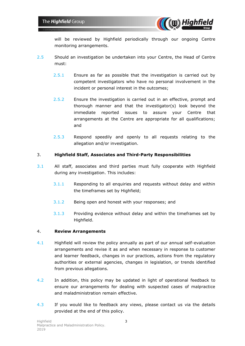

will be reviewed by Highfield periodically through our ongoing Centre monitoring arrangements.

- 2.5 Should an investigation be undertaken into your Centre, the Head of Centre must:
	- 2.5.1 Ensure as far as possible that the investigation is carried out by competent investigators who have no personal involvement in the incident or personal interest in the outcomes;
	- 2.5.2 Ensure the investigation is carried out in an effective, prompt and thorough manner and that the investigator(s) look beyond the immediate reported issues to assure your Centre that arrangements at the Centre are appropriate for all qualifications; and
	- 2.5.3 Respond speedily and openly to all requests relating to the allegation and/or investigation.

### 3. **Highfield Staff, Associates and Third-Party Responsibilities**

- 3.1 All staff, associates and third parties must fully cooperate with Highfield during any investigation. This includes:
	- 3.1.1 Responding to all enquiries and requests without delay and within the timeframes set by Highfield;
	- 3.1.2 Being open and honest with your responses; and
	- 3.1.3 Providing evidence without delay and within the timeframes set by Highfield.

### 4. **Review Arrangements**

- 4.1 Highfield will review the policy annually as part of our annual self-evaluation arrangements and revise it as and when necessary in response to customer and learner feedback, changes in our practices, actions from the regulatory authorities or external agencies, changes in legislation, or trends identified from previous allegations.
- 4.2 In addition, this policy may be updated in light of operational feedback to ensure our arrangements for dealing with suspected cases of malpractice and maladministration remain effective.
- 4.3 If you would like to feedback any views, please contact us via the details provided at the end of this policy.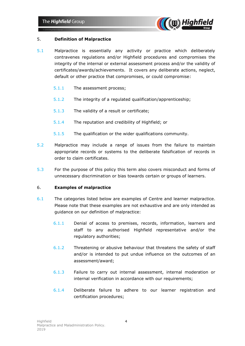

## 5. **Definition of Malpractice**

- 5.1 Malpractice is essentially any activity or practice which deliberately contravenes regulations and/or Highfield procedures and compromises the integrity of the internal or external assessment process and/or the validity of certificates/awards/achievements. It covers any deliberate actions, neglect, default or other practice that compromises, or could compromise:
	- 5.1.1 The assessment process;
	- 5.1.2 The integrity of a regulated qualification/apprenticeship;
	- 5.1.3 The validity of a result or certificate;
	- 5.1.4 The reputation and credibility of Highfield; or
	- 5.1.5 The qualification or the wider qualifications community.
- 5.2 Malpractice may include a range of issues from the failure to maintain appropriate records or systems to the deliberate falsification of records in order to claim certificates.
- 5.3 For the purpose of this policy this term also covers misconduct and forms of unnecessary discrimination or bias towards certain or groups of learners.

### 6. **Examples of malpractice**

- 6.1 The categories listed below are examples of Centre and learner malpractice. Please note that these examples are not exhaustive and are only intended as guidance on our definition of malpractice:
	- 6.1.1 Denial of access to premises, records, information, learners and staff to any authorised Highfield representative and/or the regulatory authorities;
	- 6.1.2 Threatening or abusive behaviour that threatens the safety of staff and/or is intended to put undue influence on the outcomes of an assessment/award;
	- 6.1.3 Failure to carry out internal assessment, internal moderation or internal verification in accordance with our requirements;
	- 6.1.4 Deliberate failure to adhere to our learner registration and certification procedures;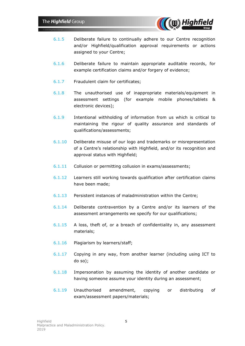

- 6.1.5 Deliberate failure to continually adhere to our Centre recognition and/or Highfield/qualification approval requirements or actions assigned to your Centre;
- 6.1.6 Deliberate failure to maintain appropriate auditable records, for example certification claims and/or forgery of evidence;
- 6.1.7 Fraudulent claim for certificates;
- 6.1.8 The unauthorised use of inappropriate materials/equipment in assessment settings (for example mobile phones/tablets & electronic devices);
- 6.1.9 Intentional withholding of information from us which is critical to maintaining the rigour of quality assurance and standards of qualifications/assessments;
- 6.1.10 Deliberate misuse of our logo and trademarks or misrepresentation of a Centre's relationship with Highfield, and/or its recognition and approval status with Highfield;
- 6.1.11 Collusion or permitting collusion in exams/assessments;
- 6.1.12 Learners still working towards qualification after certification claims have been made;
- 6.1.13 Persistent instances of maladministration within the Centre;
- 6.1.14 Deliberate contravention by a Centre and/or its learners of the assessment arrangements we specify for our qualifications;
- 6.1.15 A loss, theft of, or a breach of confidentiality in, any assessment materials;
- 6.1.16 Plagiarism by learners/staff;
- 6.1.17 Copying in any way, from another learner (including using ICT to do so);
- 6.1.18 Impersonation by assuming the identity of another candidate or having someone assume your identity during an assessment;
- 6.1.19 Unauthorised amendment, copying or distributing of exam/assessment papers/materials;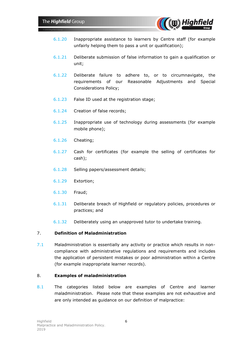

- 6.1.20 Inappropriate assistance to learners by Centre staff (for example unfairly helping them to pass a unit or qualification);
- 6.1.21 Deliberate submission of false information to gain a qualification or unit;
- 6.1.22 Deliberate failure to adhere to, or to circumnavigate, the requirements of our Reasonable Adjustments and Special Considerations Policy;
- 6.1.23 False ID used at the registration stage;
- 6.1.24 Creation of false records;
- 6.1.25 Inappropriate use of technology during assessments (for example mobile phone);
- 6.1.26 Cheating;
- 6.1.27 Cash for certificates (for example the selling of certificates for cash);
- 6.1.28 Selling papers/assessment details;
- 6.1.29 Extortion;
- 6.1.30 Fraud;
- 6.1.31 Deliberate breach of Highfield or regulatory policies, procedures or practices; and
- 6.1.32 Deliberately using an unapproved tutor to undertake training.

### 7. **Definition of Maladministration**

7.1 Maladministration is essentially any activity or practice which results in noncompliance with administrative regulations and requirements and includes the application of persistent mistakes or poor administration within a Centre (for example inappropriate learner records).

### 8. **Examples of maladministration**

8.1 The categories listed below are examples of Centre and learner maladministration. Please note that these examples are not exhaustive and are only intended as guidance on our definition of malpractice: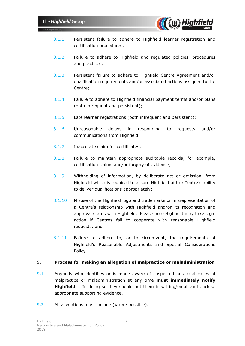

- 8.1.1 Persistent failure to adhere to Highfield learner registration and certification procedures;
- 8.1.2 Failure to adhere to Highfield and regulated policies, procedures and practices;
- 8.1.3 Persistent failure to adhere to Highfield Centre Agreement and/or qualification requirements and/or associated actions assigned to the Centre;
- 8.1.4 Failure to adhere to Highfield financial payment terms and/or plans (both infrequent and persistent);
- 8.1.5 Late learner registrations (both infrequent and persistent);
- 8.1.6 Unreasonable delays in responding to requests and/or communications from Highfield;
- 8.1.7 Inaccurate claim for certificates;
- 8.1.8 Failure to maintain appropriate auditable records, for example, certification claims and/or forgery of evidence;
- 8.1.9 Withholding of information, by deliberate act or omission, from Highfield which is required to assure Highfield of the Centre's ability to deliver qualifications appropriately;
- 8.1.10 Misuse of the Highfield logo and trademarks or misrepresentation of a Centre's relationship with Highfield and/or its recognition and approval status with Highfield. Please note Highfield may take legal action if Centres fail to cooperate with reasonable Highfield requests; and
- 8.1.11 Failure to adhere to, or to circumvent, the requirements of Highfield's Reasonable Adjustments and Special Considerations Policy.

### 9. **Process for making an allegation of malpractice or maladministration**

- 9.1 Anybody who identifies or is made aware of suspected or actual cases of malpractice or maladministration at any time **must immediately notify Highfield**. In doing so they should put them in writing/email and enclose appropriate supporting evidence.
- 9.2 All allegations must include (where possible):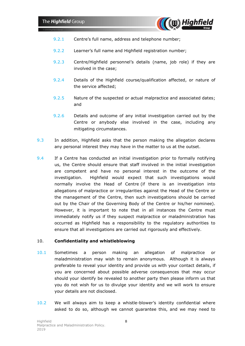

- 9.2.1 Centre's full name, address and telephone number;
- 9.2.2 Learner's full name and Highfield registration number;
- 9.2.3 Centre/Highfield personnel's details (name, job role) if they are involved in the case;
- 9.2.4 Details of the Highfield course/qualification affected, or nature of the service affected;
- 9.2.5 Nature of the suspected or actual malpractice and associated dates; and
- 9.2.6 Details and outcome of any initial investigation carried out by the Centre or anybody else involved in the case, including any mitigating circumstances.
- 9.3 In addition, Highfield asks that the person making the allegation declares any personal interest they may have in the matter to us at the outset.
- 9.4 If a Centre has conducted an initial investigation prior to formally notifying us, the Centre should ensure that staff involved in the initial investigation are competent and have no personal interest in the outcome of the investigation. Highfield would expect that such investigations would normally involve the Head of Centre (if there is an investigation into allegations of malpractice or irregularities against the Head of the Centre or the management of the Centre, then such investigations should be carried out by the Chair of the Governing Body of the Centre or his/her nominee). However, it is important to note that in all instances the Centre must immediately notify us if they suspect malpractice or maladministration has occurred as Highfield has a responsibility to the regulatory authorities to ensure that all investigations are carried out rigorously and effectively.

### 10. **Confidentiality and whistleblowing**

- 10.1 Sometimes a person making an allegation of malpractice or maladministration may wish to remain anonymous. Although it is always preferable to reveal your identity and provide us with your contact details, if you are concerned about possible adverse consequences that may occur should your identify be revealed to another party then please inform us that you do not wish for us to divulge your identity and we will work to ensure your details are not disclosed.
- 10.2 We will always aim to keep a whistle-blower's identity confidential where asked to do so, although we cannot guarantee this, and we may need to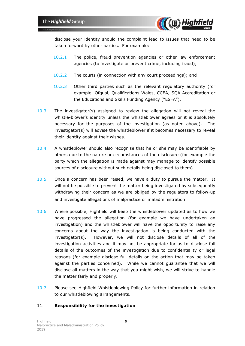

disclose your identity should the complaint lead to issues that need to be taken forward by other parties. For example:

- 10.2.1 The police, fraud prevention agencies or other law enforcement agencies (to investigate or prevent crime, including fraud);
- 10.2.2 The courts (in connection with any court proceedings); and
- 10.2.3 Other third parties such as the relevant regulatory authority (for example. Ofqual, Qualifications Wales, CCEA, SQA Accreditation or the Educations and Skills Funding Agency ("ESFA").
- 10.3 The investigator(s) assigned to review the allegation will not reveal the whistle-blower's identity unless the whistleblower agrees or it is absolutely necessary for the purposes of the investigation (as noted above). The investigator(s) will advise the whistleblower if it becomes necessary to reveal their identity against their wishes.
- 10.4 A whistleblower should also recognise that he or she may be identifiable by others due to the nature or circumstances of the disclosure (for example the party which the allegation is made against may manage to identify possible sources of disclosure without such details being disclosed to them).
- 10.5 Once a concern has been raised, we have a duty to pursue the matter. It will not be possible to prevent the matter being investigated by subsequently withdrawing their concern as we are obliged by the regulators to follow-up and investigate allegations of malpractice or maladministration.
- 10.6 Where possible, Highfield will keep the whistleblower updated as to how we have progressed the allegation (for example we have undertaken an investigation) and the whistleblower will have the opportunity to raise any concerns about the way the investigation is being conducted with the investigator(s). However, we will not disclose details of all of the investigation activities and it may not be appropriate for us to disclose full details of the outcomes of the investigation due to confidentiality or legal reasons (for example disclose full details on the action that may be taken against the parties concerned). While we cannot guarantee that we will disclose all matters in the way that you might wish, we will strive to handle the matter fairly and properly.
- 10.7 Please see Highfield Whistleblowing Policy for further information in relation to our whistleblowing arrangements.

### 11. **Responsibility for the investigation**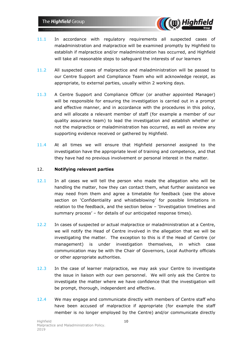

- 11.1 In accordance with regulatory requirements all suspected cases of maladministration and malpractice will be examined promptly by Highfield to establish if malpractice and/or maladministration has occurred, and Highfield will take all reasonable steps to safeguard the interests of our learners
- 11.2 All suspected cases of malpractice and maladministration will be passed to our Centre Support and Compliance Team who will acknowledge receipt, as appropriate, to external parties, usually within 2 working days.
- 11.3 A Centre Support and Compliance Officer (or another appointed Manager) will be responsible for ensuring the investigation is carried out in a prompt and effective manner, and in accordance with the procedures in this policy, and will allocate a relevant member of staff (for example a member of our quality assurance team) to lead the investigation and establish whether or not the malpractice or maladministration has occurred, as well as review any supporting evidence received or gathered by Highfield.
- 11.4 At all times we will ensure that Highfield personnel assigned to the investigation have the appropriate level of training and competence, and that they have had no previous involvement or personal interest in the matter.

### 12. **Notifying relevant parties**

- 12.1 In all cases we will tell the person who made the allegation who will be handling the matter, how they can contact them, what further assistance we may need from them and agree a timetable for feedback (see the above section on 'Confidentiality and whistleblowing' for possible limitations in relation to the feedback, and the section below – 'Investigation timelines and summary process' – for details of our anticipated response times).
- 12.2 In cases of suspected or actual malpractice or maladministration at a Centre, we will notify the Head of Centre involved in the allegation that we will be investigating the matter. The exception to this is if the Head of Centre (or management) is under investigation themselves, in which case communication may be with the Chair of Governors, Local Authority officials or other appropriate authorities.
- 12.3 In the case of learner malpractice, we may ask your Centre to investigate the issue in liaison with our own personnel. We will only ask the Centre to investigate the matter where we have confidence that the investigation will be prompt, thorough, independent and effective.
- 12.4 We may engage and communicate directly with members of Centre staff who have been accused of malpractice if appropriate (for example the staff member is no longer employed by the Centre) and/or communicate directly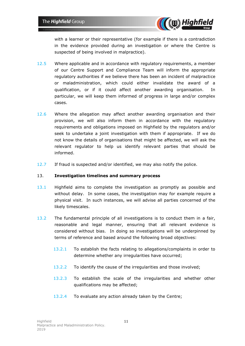

with a learner or their representative (for example if there is a contradiction in the evidence provided during an investigation or where the Centre is suspected of being involved in malpractice).

- 12.5 Where applicable and in accordance with regulatory requirements, a member of our Centre Support and Compliance Team will inform the appropriate regulatory authorities if we believe there has been an incident of malpractice or maladministration, which could either invalidate the award of a qualification, or if it could affect another awarding organisation. In particular, we will keep them informed of progress in large and/or complex cases.
- 12.6 Where the allegation may affect another awarding organisation and their provision, we will also inform them in accordance with the regulatory requirements and obligations imposed on Highfield by the regulators and/or seek to undertake a joint investigation with them if appropriate. If we do not know the details of organisations that might be affected, we will ask the relevant regulator to help us identify relevant parties that should be informed.
- 12.7 If fraud is suspected and/or identified, we may also notify the police.

# 13. **Investigation timelines and summary process**

- 13.1 Highfield aims to complete the investigation as promptly as possible and without delay. In some cases, the investigation may for example require a physical visit. In such instances, we will advise all parties concerned of the likely timescales.
- 13.2 The fundamental principle of all investigations is to conduct them in a fair, reasonable and legal manner, ensuring that all relevant evidence is considered without bias. In doing so investigations will be underpinned by terms of reference and based around the following broad objectives:
	- 13.2.1 To establish the facts relating to allegations/complaints in order to determine whether any irregularities have occurred;
	- 13.2.2 To identify the cause of the irregularities and those involved;
	- 13.2.3 To establish the scale of the irregularities and whether other qualifications may be affected;
	- 13.2.4 To evaluate any action already taken by the Centre;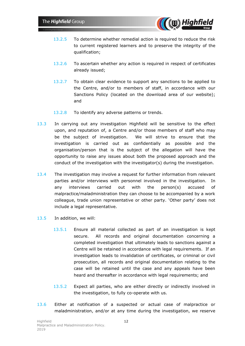

- 13.2.5 To determine whether remedial action is required to reduce the risk to current registered learners and to preserve the integrity of the qualification;
- 13.2.6 To ascertain whether any action is required in respect of certificates already issued;
- 13.2.7 To obtain clear evidence to support any sanctions to be applied to the Centre, and/or to members of staff, in accordance with our Sanctions Policy (located on the download area of our website); and
- 13.2.8 To identify any adverse patterns or trends.
- 13.3 In carrying out any investigation Highfield will be sensitive to the effect upon, and reputation of, a Centre and/or those members of staff who may be the subject of investigation. We will strive to ensure that the investigation is carried out as confidentially as possible and the organisation/person that is the subject of the allegation will have the opportunity to raise any issues about both the proposed approach and the conduct of the investigation with the investigator(s) during the investigation.
- 13.4 The investigation may involve a request for further information from relevant parties and/or interviews with personnel involved in the investigation. In any interviews carried out with the person(s) accused of malpractice/maladministration they can choose to be accompanied by a work colleague, trade union representative or other party. 'Other party' does not include a legal representative.
- 13.5 In addition, we will:
	- 13.5.1 Ensure all material collected as part of an investigation is kept secure. All records and original documentation concerning a completed investigation that ultimately leads to sanctions against a Centre will be retained in accordance with legal requirements. If an investigation leads to invalidation of certificates, or criminal or civil prosecution, all records and original documentation relating to the case will be retained until the case and any appeals have been heard and thereafter in accordance with legal requirements; and
	- 13.5.2 Expect all parties, who are either directly or indirectly involved in the investigation, to fully co-operate with us.
- 13.6 Either at notification of a suspected or actual case of malpractice or maladministration, and/or at any time during the investigation, we reserve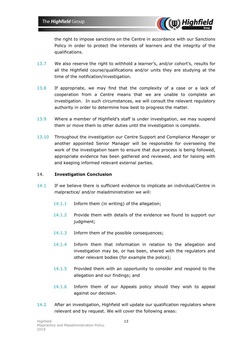

the right to impose sanctions on the Centre in accordance with our Sanctions Policy in order to protect the interests of learners and the integrity of the qualifications.

- 13.7 We also reserve the right to withhold a learner's, and/or cohort's, results for all the Highfield course/qualifications and/or units they are studying at the time of the notification/investigation.
- 13.8 If appropriate, we may find that the complexity of a case or a lack of cooperation from a Centre means that we are unable to complete an investigation. In such circumstances, we will consult the relevant regulatory authority in order to determine how best to progress the matter.
- 13.9 Where a member of Highfield's staff is under investigation, we may suspend them or move them to other duties until the investigation is complete.
- 13.10 Throughout the investigation our Centre Support and Compliance Manager or another appointed Senior Manager will be responsible for overseeing the work of the investigation team to ensure that due process is being followed, appropriate evidence has been gathered and reviewed, and for liaising with and keeping informed relevant external parties.

### 14. **Investigation Conclusion**

- 14.1 If we believe there is sufficient evidence to implicate an individual/Centre in malpractice/ and/or maladministration we will:
	- 14.1.1 Inform them (in writing) of the allegation;
	- 14.1.2 Provide them with details of the evidence we found to support our judgment;
	- 14.1.3 Inform them of the possible consequences;
	- 14.1.4 Inform them that information in relation to the allegation and investigation may be, or has been, shared with the regulators and other relevant bodies (for example the police);
	- 14.1.5 Provided them with an opportunity to consider and respond to the allegation and our findings; and
	- 14.1.6 Inform them of our Appeals policy should they wish to appeal against our decision.
- 14.2 After an investigation, Highfield will update our qualification regulators where relevant and by request. We will cover the following areas: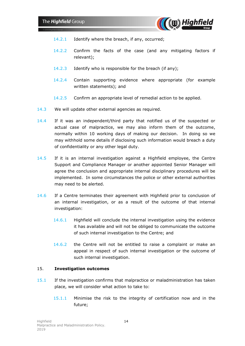

- 14.2.1 Identify where the breach, if any, occurred;
- 14.2.2 Confirm the facts of the case (and any mitigating factors if relevant);
- 14.2.3 Identify who is responsible for the breach (if any);
- 14.2.4 Contain supporting evidence where appropriate (for example written statements); and
- 14.2.5 Confirm an appropriate level of remedial action to be applied.
- 14.3 We will update other external agencies as required.
- 14.4 If it was an independent/third party that notified us of the suspected or actual case of malpractice, we may also inform them of the outcome, normally within 10 working days of making our decision. In doing so we may withhold some details if disclosing such information would breach a duty of confidentiality or any other legal duty.
- 14.5 If it is an internal investigation against a Highfield employee, the Centre Support and Compliance Manager or another appointed Senior Manager will agree the conclusion and appropriate internal disciplinary procedures will be implemented. In some circumstances the police or other external authorities may need to be alerted.
- 14.6 If a Centre terminates their agreement with Highfield prior to conclusion of an internal investigation, or as a result of the outcome of that internal investigation:
	- 14.6.1 Highfield will conclude the internal investigation using the evidence it has available and will not be obliged to communicate the outcome of such internal investigation to the Centre; and
	- 14.6.2 the Centre will not be entitled to raise a complaint or make an appeal in respect of such internal investigation or the outcome of such internal investigation.

### 15. **Investigation outcomes**

- 15.1 If the investigation confirms that malpractice or maladministration has taken place, we will consider what action to take to:
	- 15.1.1 Minimise the risk to the integrity of certification now and in the future;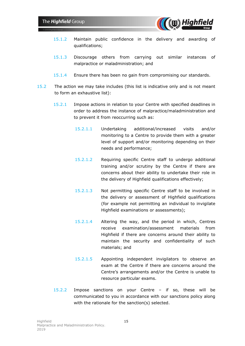

- 15.1.2 Maintain public confidence in the delivery and awarding of qualifications;
- 15.1.3 Discourage others from carrying out similar instances of malpractice or maladministration; and
- 15.1.4 Ensure there has been no gain from compromising our standards.
- 15.2 The action we may take includes (this list is indicative only and is not meant to form an exhaustive list):
	- 15.2.1 Impose actions in relation to your Centre with specified deadlines in order to address the instance of malpractice/maladministration and to prevent it from reoccurring such as:
		- 15.2.1.1 Undertaking additional/increased visits and/or monitoring to a Centre to provide them with a greater level of support and/or monitoring depending on their needs and performance;
		- 15.2.1.2 Requiring specific Centre staff to undergo additional training and/or scrutiny by the Centre if there are concerns about their ability to undertake their role in the delivery of Highfield qualifications effectively;
		- 15.2.1.3 Not permitting specific Centre staff to be involved in the delivery or assessment of Highfield qualifications (for example not permitting an individual to invigilate Highfield examinations or assessments);
		- 15.2.1.4 Altering the way, and the period in which, Centres receive examination/assessment materials from Highfield if there are concerns around their ability to maintain the security and confidentiality of such materials; and
		- 15.2.1.5 Appointing independent invigilators to observe an exam at the Centre if there are concerns around the Centre's arrangements and/or the Centre is unable to resource particular exams.
	- 15.2.2 Impose sanctions on your Centre if so, these will be communicated to you in accordance with our sanctions policy along with the rationale for the sanction(s) selected.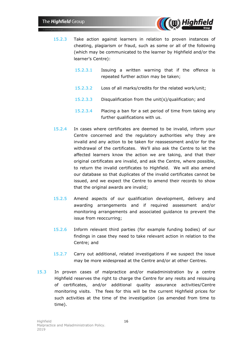

- 15.2.3 Take action against learners in relation to proven instances of cheating, plagiarism or fraud, such as some or all of the following (which may be communicated to the learner by Highfield and/or the learner's Centre):
	- 15.2.3.1 Issuing a written warning that if the offence is repeated further action may be taken;
	- 15.2.3.2 Loss of all marks/credits for the related work/unit;
	- 15.2.3.3 Disqualification from the unit(s)/qualification; and
	- 15.2.3.4 Placing a ban for a set period of time from taking any further qualifications with us.
- 15.2.4 In cases where certificates are deemed to be invalid, inform your Centre concerned and the regulatory authorities why they are invalid and any action to be taken for reassessment and/or for the withdrawal of the certificates. We'll also ask the Centre to let the affected learners know the action we are taking, and that their original certificates are invalid, and ask the Centre, where possible, to return the invalid certificates to Highfield. We will also amend our database so that duplicates of the invalid certificates cannot be issued, and we expect the Centre to amend their records to show that the original awards are invalid;
- 15.2.5 Amend aspects of our qualification development, delivery and awarding arrangements and if required assessment and/or monitoring arrangements and associated guidance to prevent the issue from reoccurring;
- 15.2.6 Inform relevant third parties (for example funding bodies) of our findings in case they need to take relevant action in relation to the Centre; and
- 15.2.7 Carry out additional, related investigations if we suspect the issue may be more widespread at the Centre and/or at other Centres.
- 15.3 In proven cases of malpractice and/or maladministration by a centre Highfield reserves the right to charge the Centre for any resits and reissuing of certificates, and/or additional quality assurance activities/Centre monitoring visits. The fees for this will be the current Highfield prices for such activities at the time of the investigation (as amended from time to time).